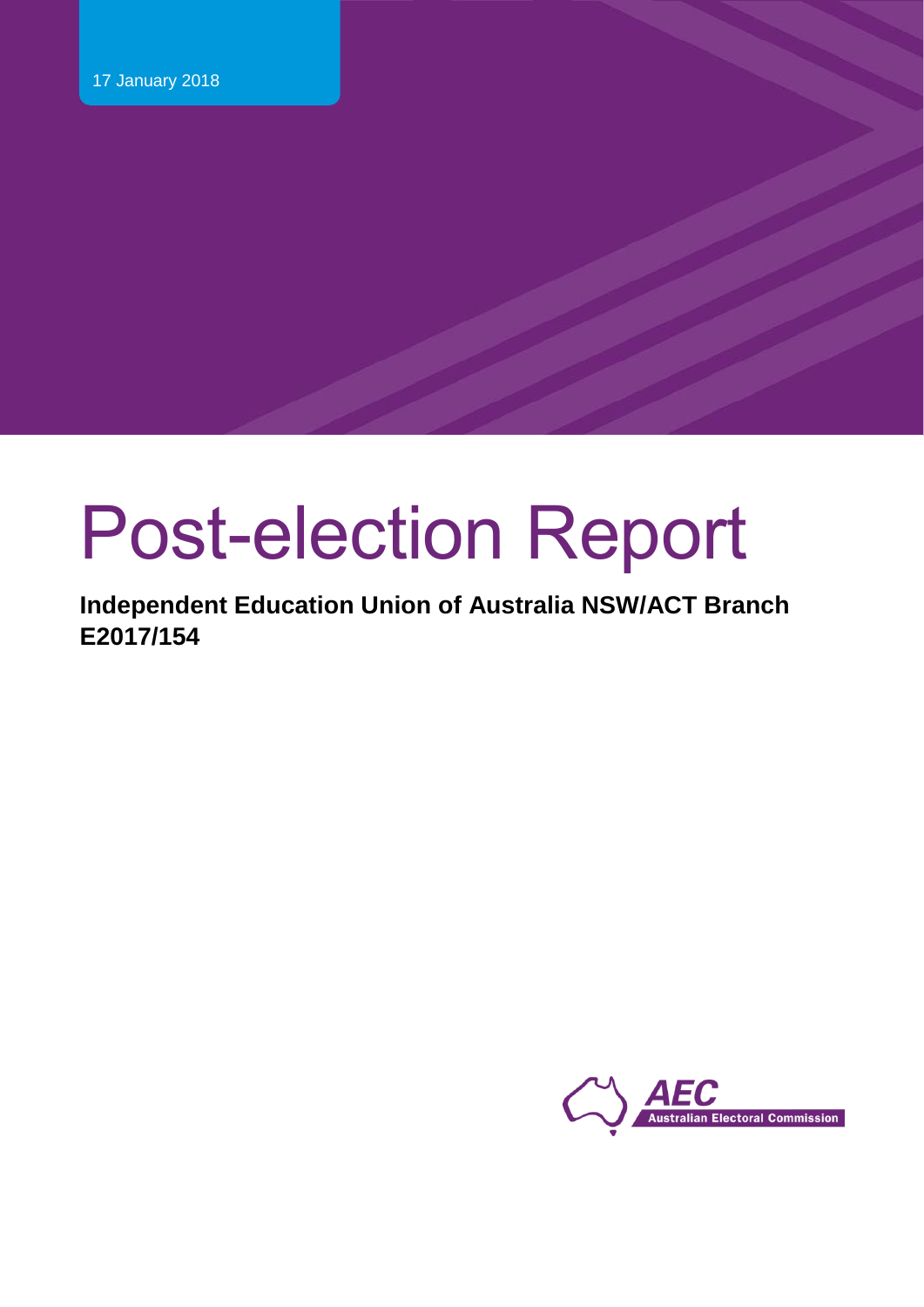# Post-election Report

**Independent Education Union of Australia NSW/ACT Branch E2017/154**

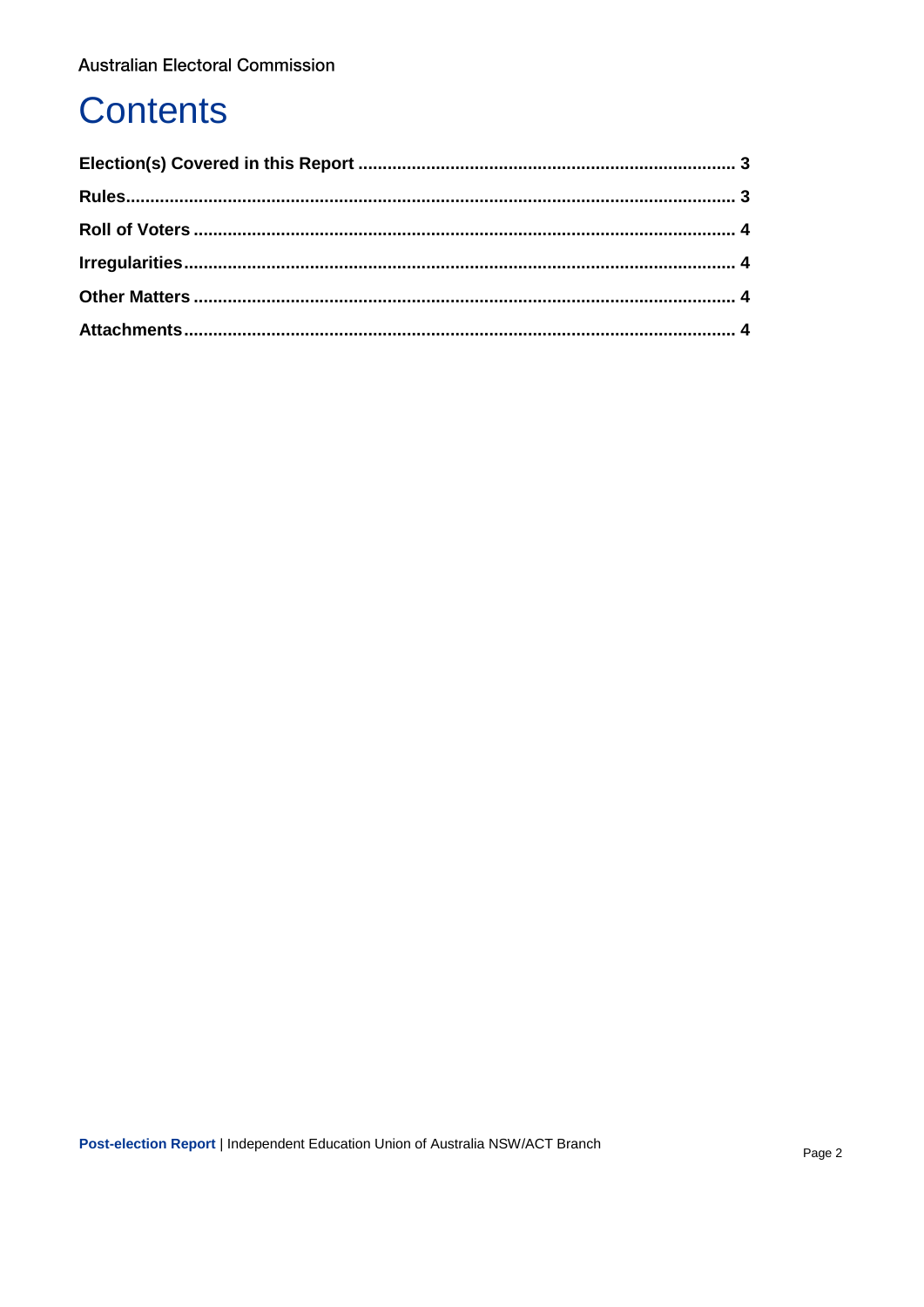# **Contents**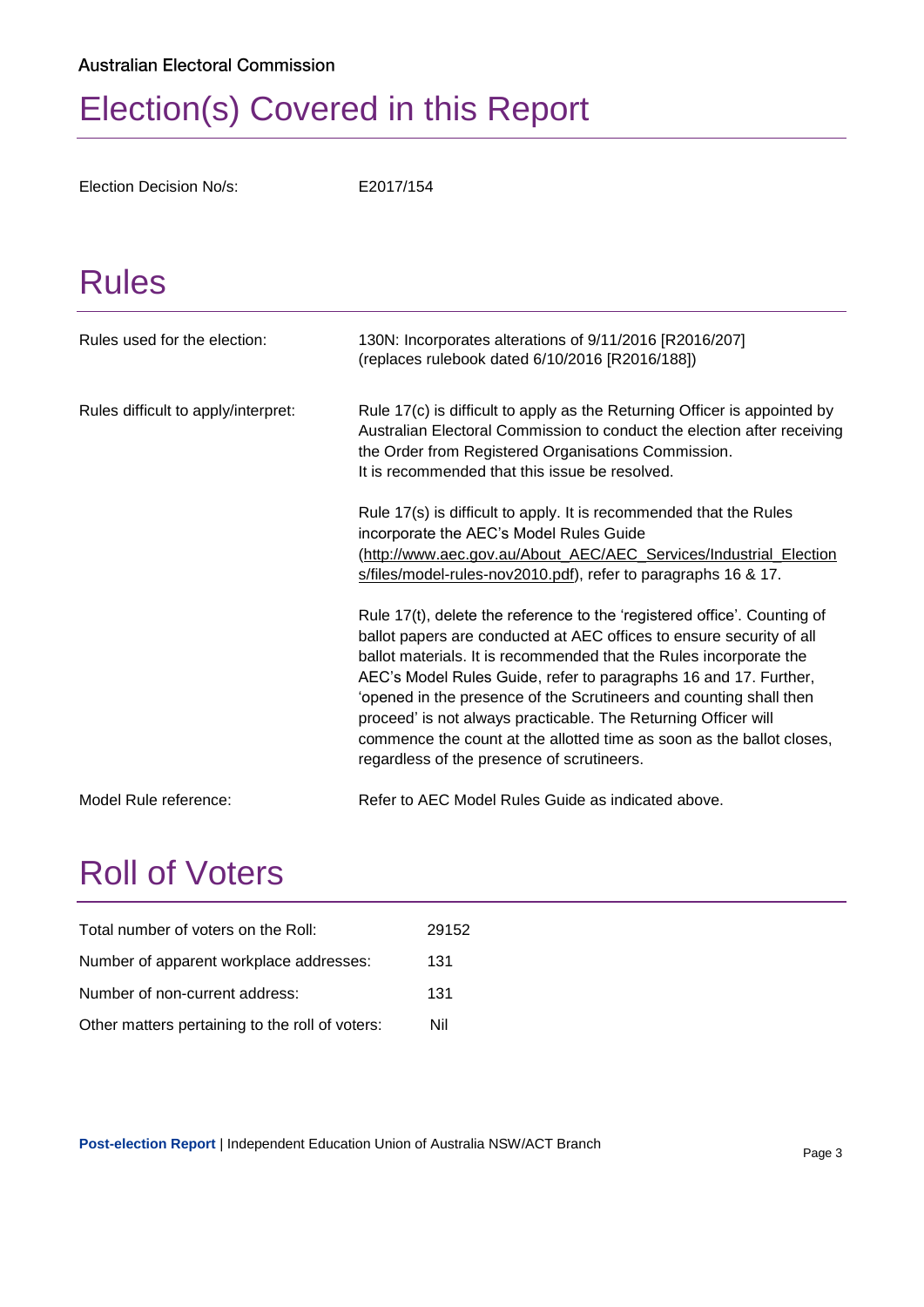# <span id="page-2-0"></span>Election(s) Covered in this Report

<span id="page-2-1"></span>Election Decision No/s: E2017/154

### Rules

| Rules used for the election:        | 130N: Incorporates alterations of 9/11/2016 [R2016/207]<br>(replaces rulebook dated 6/10/2016 [R2016/188])                                                                                                                                                                                                                                                                                                                                                                                                                                                |
|-------------------------------------|-----------------------------------------------------------------------------------------------------------------------------------------------------------------------------------------------------------------------------------------------------------------------------------------------------------------------------------------------------------------------------------------------------------------------------------------------------------------------------------------------------------------------------------------------------------|
| Rules difficult to apply/interpret: | Rule 17(c) is difficult to apply as the Returning Officer is appointed by<br>Australian Electoral Commission to conduct the election after receiving<br>the Order from Registered Organisations Commission.<br>It is recommended that this issue be resolved.                                                                                                                                                                                                                                                                                             |
|                                     | Rule 17(s) is difficult to apply. It is recommended that the Rules<br>incorporate the AEC's Model Rules Guide<br>(http://www.aec.gov.au/About_AEC/AEC_Services/Industrial_Election<br>s/files/model-rules-nov2010.pdf), refer to paragraphs 16 & 17.                                                                                                                                                                                                                                                                                                      |
|                                     | Rule 17(t), delete the reference to the 'registered office'. Counting of<br>ballot papers are conducted at AEC offices to ensure security of all<br>ballot materials. It is recommended that the Rules incorporate the<br>AEC's Model Rules Guide, refer to paragraphs 16 and 17. Further,<br>'opened in the presence of the Scrutineers and counting shall then<br>proceed' is not always practicable. The Returning Officer will<br>commence the count at the allotted time as soon as the ballot closes,<br>regardless of the presence of scrutineers. |
| Model Rule reference:               | Refer to AEC Model Rules Guide as indicated above.                                                                                                                                                                                                                                                                                                                                                                                                                                                                                                        |

### <span id="page-2-2"></span>Roll of Voters

| Total number of voters on the Roll:             | 29152 |
|-------------------------------------------------|-------|
| Number of apparent workplace addresses:         | 131   |
| Number of non-current address:                  | 131   |
| Other matters pertaining to the roll of voters: | Nil   |

**Post-election Report** | Independent Education Union of Australia NSW/ACT Branch Page 3